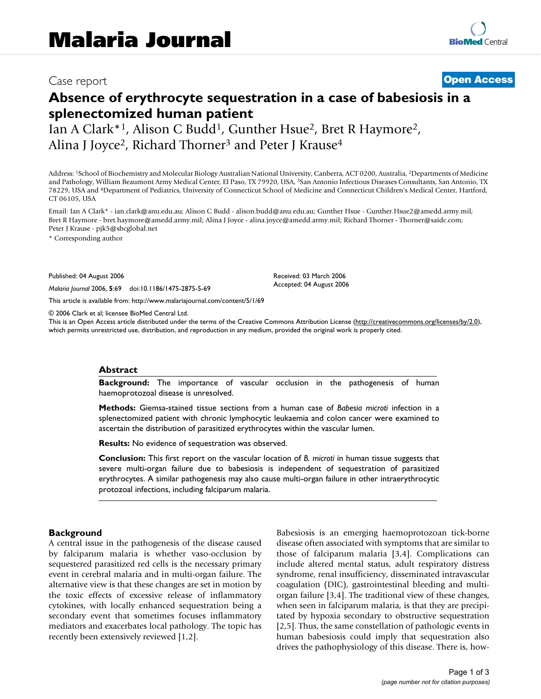## Case report **[Open Access](http://www.biomedcentral.com/info/about/charter/)**

# **Absence of erythrocyte sequestration in a case of babesiosis in a splenectomized human patient**

Ian A Clark\*<sup>1</sup>, Alison C Budd<sup>1</sup>, Gunther Hsue<sup>2</sup>, Bret R Haymore<sup>2</sup>, Alina J Joyce<sup>2</sup>, Richard Thorner<sup>3</sup> and Peter J Krause<sup>4</sup>

Address: 1School of Biochemistry and Molecular Biology Australian National University, Canberra, ACT 0200, Australia, 2Departments of Medicine and Pathology, William Beaumont Army Medical Center, El Paso, TX 79920, USA, 3San Antonio Infectious Diseases Consultants, San Antonio, TX 78229, USA and 4Department of Pediatrics, University of Connecticut School of Medicine and Connecticut Children's Medical Center, Hartford, CT 06105, USA

Email: Ian A Clark\* - ian.clark@anu.edu.au; Alison C Budd - alison.budd@anu.edu.au; Gunther Hsue - Gunther.Hsue2@amedd.army.mil; Bret R Haymore - bret.haymore@amedd.army.mil; Alina J Joyce - alina.joyce@amedd.army.mil; Richard Thorner - Thorner@saidc.com; Peter J Krause - pjk5@sbcglobal.net

\* Corresponding author

Published: 04 August 2006

*Malaria Journal* 2006, **5**:69 doi:10.1186/1475-2875-5-69

[This article is available from: http://www.malariajournal.com/content/5/1/69](http://www.malariajournal.com/content/5/1/69)

© 2006 Clark et al; licensee BioMed Central Ltd.

This is an Open Access article distributed under the terms of the Creative Commons Attribution License [\(http://creativecommons.org/licenses/by/2.0\)](http://creativecommons.org/licenses/by/2.0), which permits unrestricted use, distribution, and reproduction in any medium, provided the original work is properly cited.

Received: 03 March 2006 Accepted: 04 August 2006

#### **Abstract**

**Background:** The importance of vascular occlusion in the pathogenesis of human haemoprotozoal disease is unresolved.

**Methods:** Giemsa-stained tissue sections from a human case of *Babesia microti* infection in a splenectomized patient with chronic lymphocytic leukaemia and colon cancer were examined to ascertain the distribution of parasitized erythrocytes within the vascular lumen.

**Results:** No evidence of sequestration was observed.

**Conclusion:** This first report on the vascular location of *B. microti* in human tissue suggests that severe multi-organ failure due to babesiosis is independent of sequestration of parasitized erythrocytes. A similar pathogenesis may also cause multi-organ failure in other intraerythrocytic protozoal infections, including falciparum malaria.

#### **Background**

A central issue in the pathogenesis of the disease caused by falciparum malaria is whether vaso-occlusion by sequestered parasitized red cells is the necessary primary event in cerebral malaria and in multi-organ failure. The alternative view is that these changes are set in motion by the toxic effects of excessive release of inflammatory cytokines, with locally enhanced sequestration being a secondary event that sometimes focuses inflammatory mediators and exacerbates local pathology. The topic has recently been extensively reviewed [1,2].

Babesiosis is an emerging haemoprotozoan tick-borne disease often associated with symptoms that are similar to those of falciparum malaria [3,4]. Complications can include altered mental status, adult respiratory distress syndrome, renal insufficiency, disseminated intravascular coagulation (DIC), gastrointestinal bleeding and multiorgan failure [3,4]. The traditional view of these changes, when seen in falciparum malaria, is that they are precipitated by hypoxia secondary to obstructive sequestration [2,5]. Thus, the same constellation of pathologic events in human babesiosis could imply that sequestration also drives the pathophysiology of this disease. There is, how-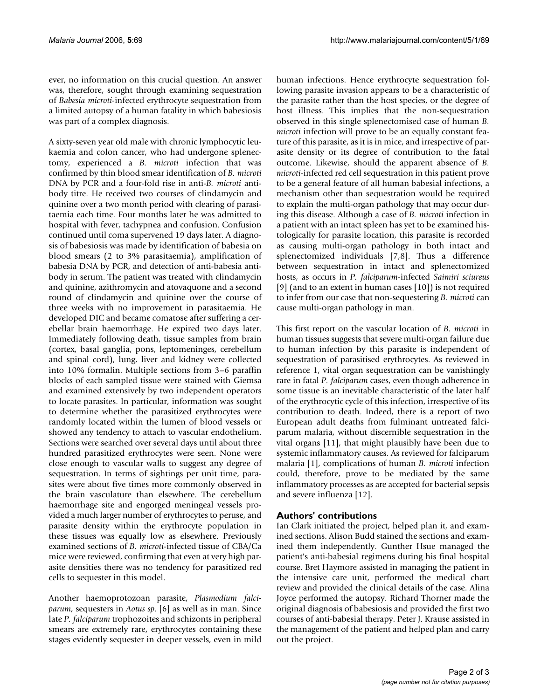ever, no information on this crucial question. An answer was, therefore, sought through examining sequestration of *Babesia microti*-infected erythrocyte sequestration from a limited autopsy of a human fatality in which babesiosis was part of a complex diagnosis.

A sixty-seven year old male with chronic lymphocytic leukaemia and colon cancer, who had undergone splenectomy, experienced a *B. microti* infection that was confirmed by thin blood smear identification of *B. microti* DNA by PCR and a four-fold rise in anti-*B. microti* antibody titre. He received two courses of clindamycin and quinine over a two month period with clearing of parasitaemia each time. Four months later he was admitted to hospital with fever, tachypnea and confusion. Confusion continued until coma supervened 19 days later. A diagnosis of babesiosis was made by identification of babesia on blood smears (2 to 3% parasitaemia), amplification of babesia DNA by PCR, and detection of anti-babesia antibody in serum. The patient was treated with clindamycin and quinine, azithromycin and atovaquone and a second round of clindamycin and quinine over the course of three weeks with no improvement in parasitaemia. He developed DIC and became comatose after suffering a cerebellar brain haemorrhage. He expired two days later. Immediately following death, tissue samples from brain (cortex, basal ganglia, pons, leptomeninges, cerebellum and spinal cord), lung, liver and kidney were collected into 10% formalin. Multiple sections from 3–6 paraffin blocks of each sampled tissue were stained with Giemsa and examined extensively by two independent operators to locate parasites. In particular, information was sought to determine whether the parasitized erythrocytes were randomly located within the lumen of blood vessels or showed any tendency to attach to vascular endothelium. Sections were searched over several days until about three hundred parasitized erythrocytes were seen. None were close enough to vascular walls to suggest any degree of sequestration. In terms of sightings per unit time, parasites were about five times more commonly observed in the brain vasculature than elsewhere. The cerebellum haemorrhage site and engorged meningeal vessels provided a much larger number of erythrocytes to peruse, and parasite density within the erythrocyte population in these tissues was equally low as elsewhere. Previously examined sections of *B. microti*-infected tissue of CBA/Ca mice were reviewed, confirming that even at very high parasite densities there was no tendency for parasitized red cells to sequester in this model.

Another haemoprotozoan parasite, *Plasmodium falciparum*, sequesters in *Aotus sp*. [6] as well as in man. Since late *P. falciparum* trophozoites and schizonts in peripheral smears are extremely rare, erythrocytes containing these stages evidently sequester in deeper vessels, even in mild human infections. Hence erythrocyte sequestration following parasite invasion appears to be a characteristic of the parasite rather than the host species, or the degree of host illness. This implies that the non-sequestration observed in this single splenectomised case of human *B. microti* infection will prove to be an equally constant feature of this parasite, as it is in mice, and irrespective of parasite density or its degree of contribution to the fatal outcome. Likewise, should the apparent absence of *B. microti*-infected red cell sequestration in this patient prove to be a general feature of all human babesial infections, a mechanism other than sequestration would be required to explain the multi-organ pathology that may occur during this disease. Although a case of *B. microti* infection in a patient with an intact spleen has yet to be examined histologically for parasite location, this parasite is recorded as causing multi-organ pathology in both intact and splenectomized individuals [7,8]. Thus a difference between sequestration in intact and splenectomized hosts, as occurs in *P. falciparum*-infected *Saimiri sciureus* [9] (and to an extent in human cases [10]) is not required to infer from our case that non-sequestering *B. microti* can cause multi-organ pathology in man.

This first report on the vascular location of *B. microti* in human tissues suggests that severe multi-organ failure due to human infection by this parasite is independent of sequestration of parasitised erythrocytes. As reviewed in reference 1, vital organ sequestration can be vanishingly rare in fatal *P. falciparum* cases, even though adherence in some tissue is an inevitable characteristic of the later half of the erythrocytic cycle of this infection, irrespective of its contribution to death. Indeed, there is a report of two European adult deaths from fulminant untreated falciparum malaria, without discernible sequestration in the vital organs [11], that might plausibly have been due to systemic inflammatory causes. As reviewed for falciparum malaria [1], complications of human *B. microti* infection could, therefore, prove to be mediated by the same inflammatory processes as are accepted for bacterial sepsis and severe influenza [12].

### **Authors' contributions**

Ian Clark initiated the project, helped plan it, and examined sections. Alison Budd stained the sections and examined them independently. Gunther Hsue managed the patient's anti-babesial regimens during his final hospital course. Bret Haymore assisted in managing the patient in the intensive care unit, performed the medical chart review and provided the clinical details of the case. Alina Joyce performed the autopsy. Richard Thorner made the original diagnosis of babesiosis and provided the first two courses of anti-babesial therapy. Peter J. Krause assisted in the management of the patient and helped plan and carry out the project.